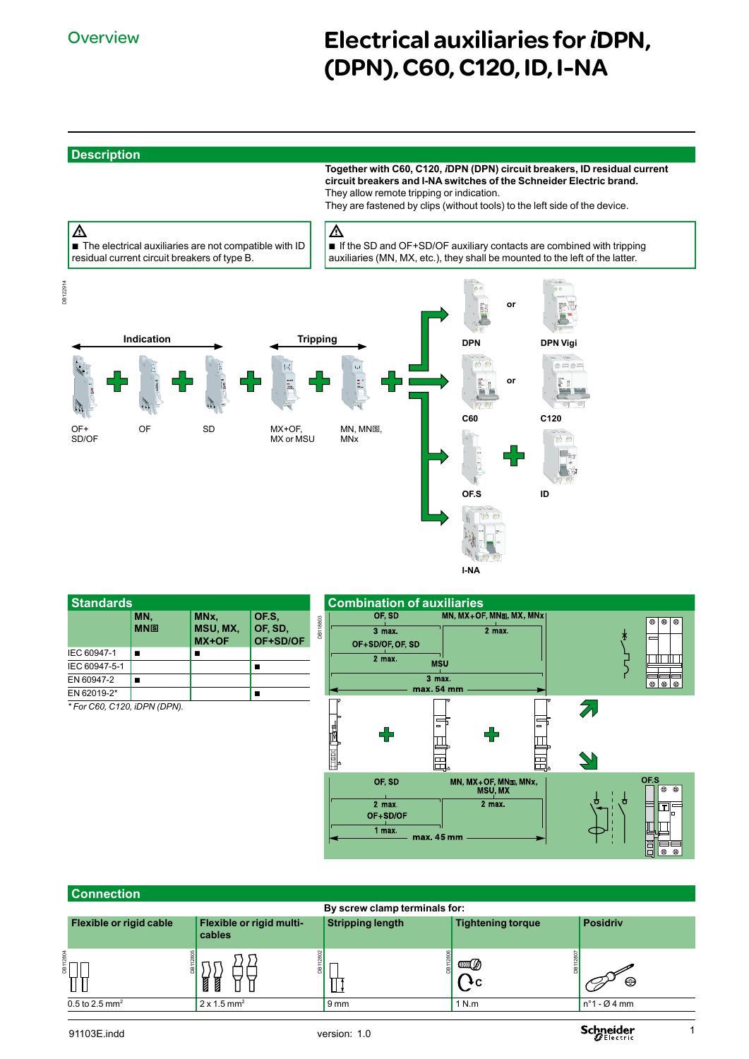## Electrical auxiliaries for *i*DPN, (DPN), C60, C120, ID, I-NA

## **Description**

**Together with C60, C120,** *i***DPN (DPN) circuit breakers, ID residual current circuit breakers and I-NA switches of the Schneider Electric brand.** They allow remote tripping or indication.





| <b>Standards</b>             |                   |                                             |                              |          |
|------------------------------|-------------------|---------------------------------------------|------------------------------|----------|
|                              | MN,<br><b>MNS</b> | MN <sub>x</sub><br>MSU, MX,<br><b>MX+OF</b> | OF.S.<br>OF, SD,<br>OF+SD/OF | DR118803 |
| IEC 60947-1                  |                   |                                             |                              |          |
| IEC 60947-5-1                |                   |                                             |                              |          |
| EN 60947-2                   |                   |                                             |                              |          |
| EN 62019-2*                  |                   |                                             |                              |          |
| * For C60, C120, iDPN (DPN). |                   |                                             |                              |          |



**I-NA**

## **Connection**

| By screw clamp terminals for: |                                    |                         |                          |                        |  |  |  |  |  |  |  |
|-------------------------------|------------------------------------|-------------------------|--------------------------|------------------------|--|--|--|--|--|--|--|
| Flexible or rigid cable       | Flexible or rigid multi-<br>cables | <b>Stripping length</b> | <b>Tightening torque</b> | <b>Posidriv</b>        |  |  |  |  |  |  |  |
| ā۱<br>ä١                      | 힓<br>Ø<br>Ø                        |                         | <b>CILLER SAN</b><br>÷с  | ⊕                      |  |  |  |  |  |  |  |
| $0.5$ to 2.5 mm <sup>2</sup>  | $2 \times 1.5$ mm <sup>2</sup>     | 9 <sub>mm</sub>         | 1 N.m                    | $n^{\circ}$ 1 - Ø 4 mm |  |  |  |  |  |  |  |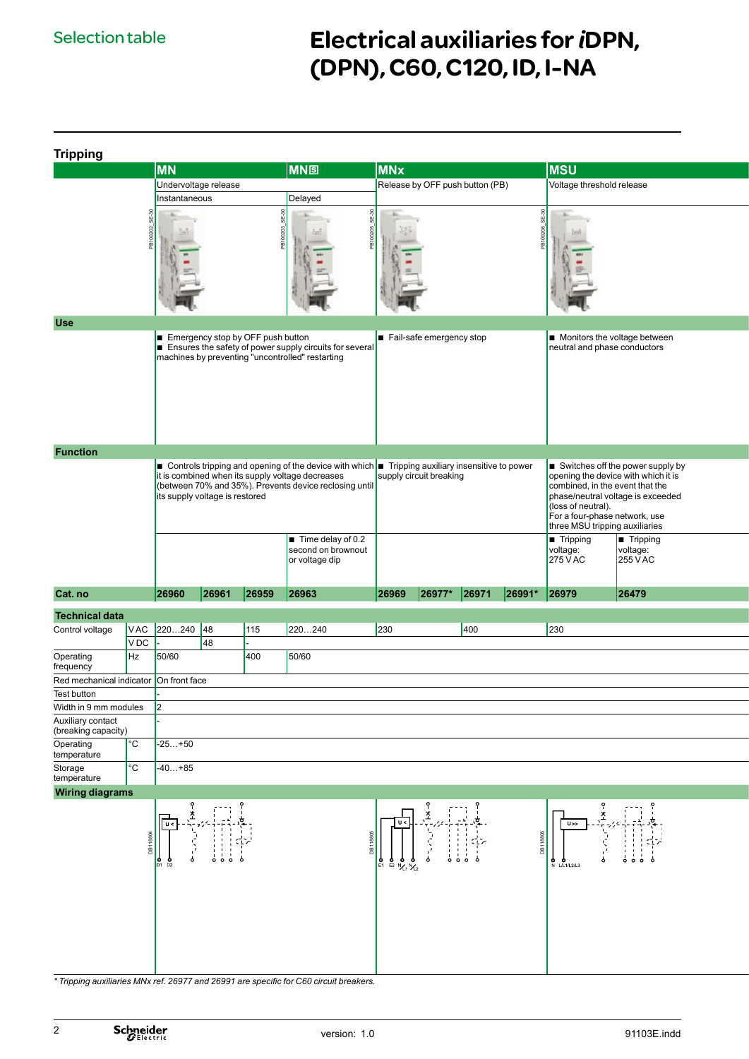## Electrical auxiliaries for *i*DPN, (DPN), C60, C120, ID, I-NA

| <b>Tripping</b>                                                                  |                 |                                                             |       |       |                                                                                                                                                                                                                                                                                              |                                  |                                     |                                                                                                                                                                                    |                                                                                                                                                                    |  |
|----------------------------------------------------------------------------------|-----------------|-------------------------------------------------------------|-------|-------|----------------------------------------------------------------------------------------------------------------------------------------------------------------------------------------------------------------------------------------------------------------------------------------------|----------------------------------|-------------------------------------|------------------------------------------------------------------------------------------------------------------------------------------------------------------------------------|--------------------------------------------------------------------------------------------------------------------------------------------------------------------|--|
|                                                                                  |                 | <b>MN</b>                                                   |       |       | <b>MNS</b>                                                                                                                                                                                                                                                                                   | <b>MNx</b>                       |                                     | <b>MSU</b>                                                                                                                                                                         |                                                                                                                                                                    |  |
|                                                                                  |                 | Undervoltage release                                        |       |       |                                                                                                                                                                                                                                                                                              |                                  | Release by OFF push button (PB)     | Voltage threshold release                                                                                                                                                          |                                                                                                                                                                    |  |
|                                                                                  |                 | Instantaneous<br>5d<br>$\frac{1}{2}$<br>$\sqrt{2}$<br>$\Xi$ |       |       | Delayed<br>$\Delta x^2$<br>$\sqrt{\frac{1}{2}}$<br>与                                                                                                                                                                                                                                         | $\overline{ }$<br>$\Xi$          |                                     | a.<br><b>Inch</b><br>-                                                                                                                                                             |                                                                                                                                                                    |  |
| <b>Use</b>                                                                       |                 |                                                             |       |       |                                                                                                                                                                                                                                                                                              |                                  |                                     |                                                                                                                                                                                    |                                                                                                                                                                    |  |
|                                                                                  |                 |                                                             |       |       | Emergency stop by OFF push button<br>Ensures the safety of power supply circuits for several<br>machines by preventing "uncontrolled" restarting                                                                                                                                             | $\vert$ Fail-safe emergency stop |                                     | Monitors the voltage between<br>neutral and phase conductors                                                                                                                       |                                                                                                                                                                    |  |
| <b>Function</b>                                                                  |                 |                                                             |       |       |                                                                                                                                                                                                                                                                                              |                                  |                                     |                                                                                                                                                                                    |                                                                                                                                                                    |  |
|                                                                                  |                 | its supply voltage is restored                              |       |       | ■ Controls tripping and opening of the device with which ■ Tripping auxiliary insensitive to power<br>it is combined when its supply voltage decreases<br>(between 70% and 35%). Prevents device reclosing until<br>$\blacksquare$ Time delay of 0.2<br>second on brownout<br>or voltage dip |                                  |                                     | combined, in the event that the<br>(loss of neutral).<br>For a four-phase network, use<br>three MSU tripping auxiliaries<br>$\sqrt{\blacksquare}$ Tripping<br>voltage:<br>275 V AC | Switches off the power supply by<br>opening the device with which it is<br>phase/neutral voltage is exceeded<br>$\vert$ Tripping<br>voltage:<br>$255 \text{ V}$ AC |  |
| Cat. no                                                                          |                 | 26960                                                       | 26961 | 26959 | 26963                                                                                                                                                                                                                                                                                        | $ 26969\rangle$                  | $\sqrt{26977^*}$ 26971 26991* 26979 |                                                                                                                                                                                    | 26479                                                                                                                                                              |  |
| <b>Technical data</b>                                                            |                 |                                                             |       |       |                                                                                                                                                                                                                                                                                              |                                  |                                     |                                                                                                                                                                                    |                                                                                                                                                                    |  |
| Control voltage                                                                  |                 | VAC 220240 48                                               |       | 115   | 220240                                                                                                                                                                                                                                                                                       | 230                              | 400                                 | 230                                                                                                                                                                                |                                                                                                                                                                    |  |
|                                                                                  | V <sub>DC</sub> |                                                             | 48    |       |                                                                                                                                                                                                                                                                                              |                                  |                                     |                                                                                                                                                                                    |                                                                                                                                                                    |  |
| Operating<br>frequency                                                           | Hz              | 50/60                                                       |       | 400   | 50/60                                                                                                                                                                                                                                                                                        |                                  |                                     |                                                                                                                                                                                    |                                                                                                                                                                    |  |
| Red mechanical indicator On front face                                           |                 |                                                             |       |       |                                                                                                                                                                                                                                                                                              |                                  |                                     |                                                                                                                                                                                    |                                                                                                                                                                    |  |
| Test button<br>Width in 9 mm modules<br>Auxiliary contact<br>(breaking capacity) |                 | I٥                                                          |       |       |                                                                                                                                                                                                                                                                                              |                                  |                                     |                                                                                                                                                                                    |                                                                                                                                                                    |  |
| Operating                                                                        | ∣°C             | $-25+50$                                                    |       |       |                                                                                                                                                                                                                                                                                              |                                  |                                     |                                                                                                                                                                                    |                                                                                                                                                                    |  |
| temperature<br>Storage<br>temperature                                            | $\circ$ C       | $-40+85$                                                    |       |       |                                                                                                                                                                                                                                                                                              |                                  |                                     |                                                                                                                                                                                    |                                                                                                                                                                    |  |
| <b>Wiring diagrams</b>                                                           |                 |                                                             |       |       |                                                                                                                                                                                                                                                                                              |                                  |                                     |                                                                                                                                                                                    |                                                                                                                                                                    |  |
|                                                                                  |                 |                                                             |       |       |                                                                                                                                                                                                                                                                                              | $E_2$ $N_{1}N_{2}$               |                                     | U>><br>O O<br>N l/l1/l2/l3                                                                                                                                                         |                                                                                                                                                                    |  |
|                                                                                  |                 |                                                             |       |       | * Tripping auxiliaries MNx ref. 26977 and 26991 are specific for C60 circuit breakers.                                                                                                                                                                                                       |                                  |                                     |                                                                                                                                                                                    |                                                                                                                                                                    |  |

 $\overline{2}$